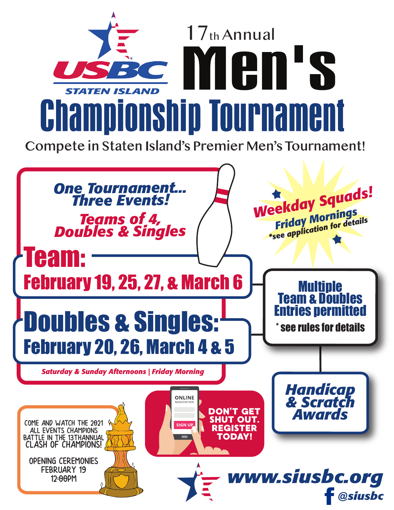